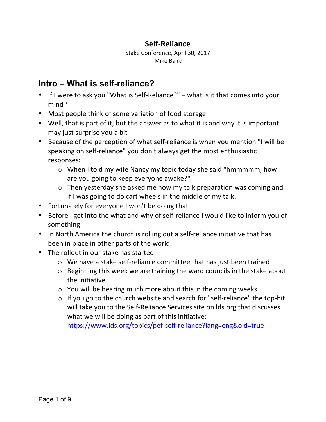## **Self-Reliance**

Stake Conference, April 30, 2017 Mike Baird

# **Intro – What is self-reliance?**

- If I were to ask you "What is Self-Reliance?"  $-$  what is it that comes into your mind?
- Most people think of some variation of food storage
- Well, that is part of it, but the answer as to what it is and why it is important may just surprise you a bit
- Because of the perception of what self-reliance is when you mention "I will be speaking on self-reliance" you don't always get the most enthusiastic responses:
	- $\circ$  When I told my wife Nancy my topic today she said "hmmmmm, how are you going to keep everyone awake?"
	- $\circ$  Then yesterday she asked me how my talk preparation was coming and if I was going to do cart wheels in the middle of my talk.
- Fortunately for everyone I won't be doing that
- Before I get into the what and why of self-reliance I would like to inform you of something
- In North America the church is rolling out a self-reliance initiative that has been in place in other parts of the world.
- The rollout in our stake has started
	- $\circ$  We have a stake self-reliance committee that has just been trained
	- $\circ$  Beginning this week we are training the ward councils in the stake about the initiative
	- $\circ$  You will be hearing much more about this in the coming weeks
	- $\circ$  If you go to the church website and search for "self-reliance" the top-hit will take you to the Self-Reliance Services site on lds.org that discusses what we will be doing as part of this initiative:

https://www.lds.org/topics/pef-self-reliance?lang=eng&old=true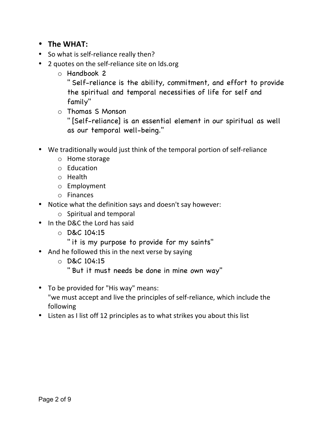- **The WHAT:**
- So what is self-reliance really then?
- 2 quotes on the self-reliance site on lds.org
	- o Handbook 2

" Self-reliance is the ability, commitment, and effort to provide the spiritual and temporal necessities of life for self and family"

o Thomas S Monson

" [Self-reliance] is an essential element in our spiritual as well as our temporal well-being."

- We traditionally would just think of the temporal portion of self-reliance
	- $\circ$  Home storage
	- o Education
	- o Health
	- o Employment
	- o Finances
- Notice what the definition says and doesn't say however:
	- $\circ$  Spiritual and temporal
- In the D&C the Lord has said
	- o D&C 104:15
		- " it is my purpose to provide for my saints"
- And he followed this in the next verse by saying
	- o D&C 104:15
		- " But it must needs be done in mine own way"
- To be provided for "His way" means: "we must accept and live the principles of self-reliance, which include the following
- Listen as I list off 12 principles as to what strikes you about this list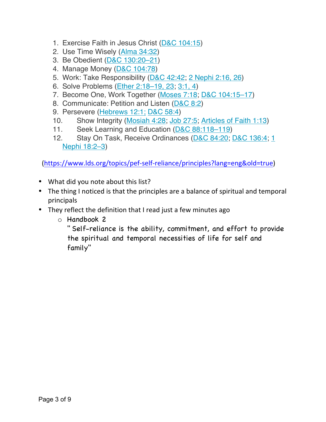- 1. Exercise Faith in Jesus Christ (D&C 104:15)
- 2. Use Time Wisely (Alma 34:32)
- 3. Be Obedient (D&C 130:20–21)
- 4. Manage Money (D&C 104:78)
- 5. Work: Take Responsibility (D&C 42:42; 2 Nephi 2:16, 26)
- 6. Solve Problems (Ether 2:18–19, 23; 3:1, 4)
- 7. Become One, Work Together (Moses 7:18; D&C 104:15–17)
- 8. Communicate: Petition and Listen (D&C 8:2)
- 9. Persevere (Hebrews 12:1; D&C 58:4)
- 10. Show Integrity (Mosiah 4:28; Job 27:5; Articles of Faith 1:13)
- 11. Seek Learning and Education (D&C 88:118–119)
- 12. Stay On Task, Receive Ordinances (D&C 84:20; D&C 136:4; 1 Nephi 18:2–3)

 (https://www.lds.org/topics/pef-self-reliance/principles?lang=eng&old=true) 

- What did you note about this list?
- The thing I noticed is that the principles are a balance of spiritual and temporal principals
- They reflect the definition that I read just a few minutes ago
	- o Handbook 2

" Self-reliance is the ability, commitment, and effort to provide the spiritual and temporal necessities of life for self and family"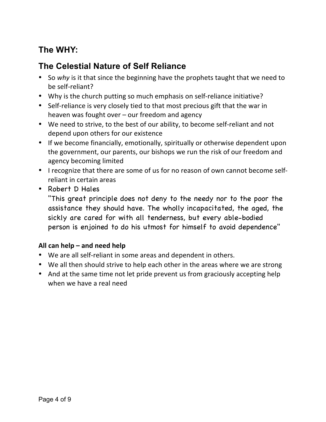# **The WHY:**

# **The Celestial Nature of Self Reliance**

- So why is it that since the beginning have the prophets taught that we need to be self-reliant?
- Why is the church putting so much emphasis on self-reliance initiative?
- Self-reliance is very closely tied to that most precious gift that the war in heaven was fought over  $-$  our freedom and agency
- We need to strive, to the best of our ability, to become self-reliant and not depend upon others for our existence
- If we become financially, emotionally, spiritually or otherwise dependent upon the government, our parents, our bishops we run the risk of our freedom and agency becoming limited
- I recognize that there are some of us for no reason of own cannot become selfreliant in certain areas
- Robert D Hales

"This great principle does not deny to the needy nor to the poor the assistance they should have. The wholly incapacitated, the aged, the sickly are cared for with all tenderness, but every able-bodied person is enjoined to do his utmost for himself to avoid dependence"

#### All can help – and need help

- We are all self-reliant in some areas and dependent in others.
- We all then should strive to help each other in the areas where we are strong
- And at the same time not let pride prevent us from graciously accepting help when we have a real need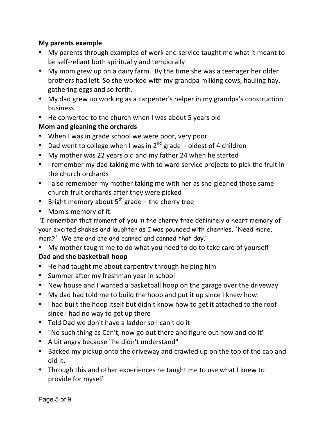#### **My parents example**

- My parents through examples of work and service taught me what it meant to be self-reliant both spiritually and temporally
- My mom grew up on a dairy farm. By the time she was a teenager her older brothers had left. So she worked with my grandpa milking cows, hauling hay, gathering eggs and so forth.
- My dad grew up working as a carpenter's helper in my grandpa's construction business
- He converted to the church when I was about 5 years old

#### **Mom and gleaning the orchards**

- When I was in grade school we were poor, very poor
- Dad went to college when I was in  $2^{nd}$  grade oldest of 4 children
- My mother was 22 years old and my father 24 when he started
- I remember my dad taking me with to ward service projects to pick the fruit in the church orchards
- I also remember my mother taking me with her as she gleaned those same church fruit orchards after they were picked
- Bright memory about  $5^{th}$  grade the cherry tree
- Mom's memory of it:

"I remember that moment of you in the cherry tree definitely a heart memory of your excited shakes and laughter as I was pounded with cherries. 'Need more, mom?' We ate and ate and canned and canned that day."

- My mother taught me to do what you need to do to take care of yourself Dad and the basketball hoop
- He had taught me about carpentry through helping him
- Summer after my freshman year in school
- New house and I wanted a basketball hoop on the garage over the driveway
- My dad had told me to build the hoop and put it up since I knew how.
- I had built the hoop itself but didn't know how to get it attached to the roof since I had no way to get up there
- Told Dad we don't have a ladder so I can't do it
- "No such thing as Can't, now go out there and figure out how and do it"
- A bit angry because "he didn't understand"
- Backed my pickup onto the driveway and crawled up on the top of the cab and did it.
- Through this and other experiences he taught me to use what I knew to provide for myself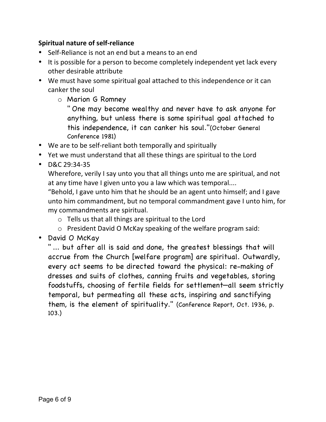#### **Spiritual nature of self-reliance**

- Self-Reliance is not an end but a means to an end
- It is possible for a person to become completely independent yet lack every other desirable attribute
- We must have some spiritual goal attached to this independence or it can canker the soul
	- o Marion G Romney

" One may become wealthy and never have to ask anyone for anything, but unless there is some spiritual goal attached to this independence, it can canker his soul."(October General Conference 1981)

- We are to be self-reliant both temporally and spiritually
- Yet we must understand that all these things are spiritual to the Lord
- D&C 29:34-35

Wherefore, verily I say unto you that all things unto me are spiritual, and not at any time have I given unto you a law which was temporal....

"Behold, I gave unto him that he should be an agent unto himself; and I gave unto him commandment, but no temporal commandment gave I unto him, for my commandments are spiritual.

- $\circ$  Tells us that all things are spiritual to the Lord
- $\circ$  President David O McKay speaking of the welfare program said:
- David O McKay

" ... but after all is said and done, the greatest blessings that will accrue from the Church [welfare program] are spiritual. Outwardly, every act seems to be directed toward the physical: re-making of dresses and suits of clothes, canning fruits and vegetables, storing foodstuffs, choosing of fertile fields for settlement—all seem strictly temporal, but permeating all these acts, inspiring and sanctifying them, is the element of spirituality." (Conference Report, Oct. 1936, p. 103.)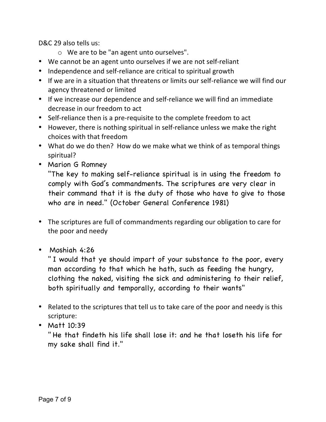D&C 29 also tells us:

- $\circ$  We are to be "an agent unto ourselves".
- We cannot be an agent unto ourselves if we are not self-reliant
- Independence and self-reliance are critical to spiritual growth
- If we are in a situation that threatens or limits our self-reliance we will find our agency threatened or limited
- If we increase our dependence and self-reliance we will find an immediate decrease in our freedom to act
- Self-reliance then is a pre-requisite to the complete freedom to act
- However, there is nothing spiritual in self-reliance unless we make the right choices with that freedom
- What do we do then? How do we make what we think of as temporal things spiritual?
- Marion G Romney

"The key to making self-reliance spiritual is in using the freedom to comply with God's commandments. The scriptures are very clear in their command that it is the duty of those who have to give to those who are in need." (October General Conference 1981)

- The scriptures are full of commandments regarding our obligation to care for the poor and needy
- Moshiah 4:26

" I would that ye should impart of your substance to the poor, every man according to that which he hath, such as feeding the hungry, clothing the naked, visiting the sick and administering to their relief, both spiritually and temporally, according to their wants"

- Related to the scriptures that tell us to take care of the poor and needy is this scripture:
- Matt 10:39

" He that findeth his life shall lose it: and he that loseth his life for my sake shall find it."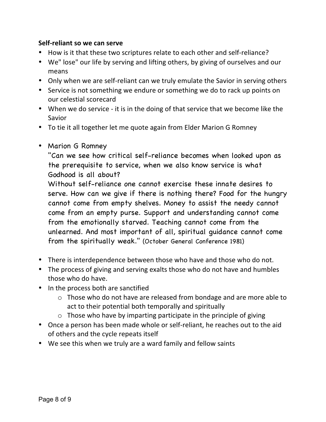#### **Self-reliant so we can serve**

- How is it that these two scriptures relate to each other and self-reliance?
- We" lose" our life by serving and lifting others, by giving of ourselves and our means
- Only when we are self-reliant can we truly emulate the Savior in serving others
- Service is not something we endure or something we do to rack up points on our celestial scorecard
- When we do service it is in the doing of that service that we become like the Savior
- To tie it all together let me quote again from Elder Marion G Romney
- Marion G Romney

"Can we see how critical self-reliance becomes when looked upon as the prerequisite to service, when we also know service is what Godhood is all about?

Without self-reliance one cannot exercise these innate desires to serve. How can we give if there is nothing there? Food for the hungry cannot come from empty shelves. Money to assist the needy cannot come from an empty purse. Support and understanding cannot come from the emotionally starved. Teaching cannot come from the unlearned. And most important of all, spiritual guidance cannot come from the spiritually weak." (October General Conference 1981)

- There is interdependence between those who have and those who do not.
- The process of giving and serving exalts those who do not have and humbles those who do have.
- In the process both are sanctified
	- $\circ$  Those who do not have are released from bondage and are more able to act to their potential both temporally and spiritually
	- $\circ$  Those who have by imparting participate in the principle of giving
- Once a person has been made whole or self-reliant, he reaches out to the aid of others and the cycle repeats itself
- We see this when we truly are a ward family and fellow saints